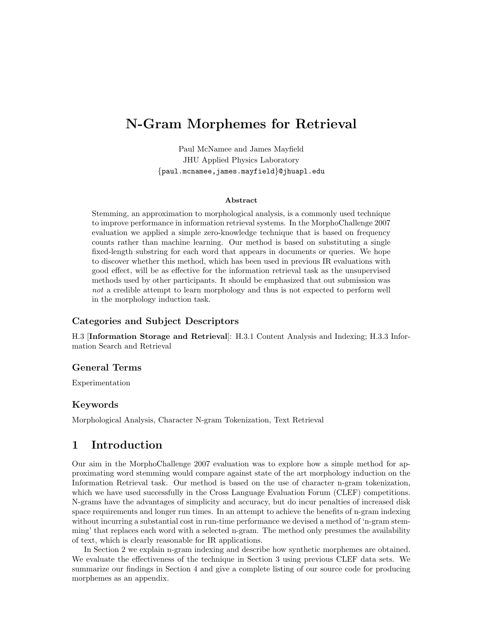# N-Gram Morphemes for Retrieval

Paul McNamee and James Mayfield JHU Applied Physics Laboratory {paul.mcnamee,james.mayfield}@jhuapl.edu

#### Abstract

Stemming, an approximation to morphological analysis, is a commonly used technique to improve performance in information retrieval systems. In the MorphoChallenge 2007 evaluation we applied a simple zero-knowledge technique that is based on frequency counts rather than machine learning. Our method is based on substituting a single fixed-length substring for each word that appears in documents or queries. We hope to discover whether this method, which has been used in previous IR evaluations with good effect, will be as effective for the information retrieval task as the unsupervised methods used by other participants. It should be emphasized that out submission was not a credible attempt to learn morphology and thus is not expected to perform well in the morphology induction task.

### Categories and Subject Descriptors

H.3 [Information Storage and Retrieval]: H.3.1 Content Analysis and Indexing; H.3.3 Information Search and Retrieval

### General Terms

Experimentation

### Keywords

Morphological Analysis, Character N-gram Tokenization, Text Retrieval

# 1 Introduction

Our aim in the MorphoChallenge 2007 evaluation was to explore how a simple method for approximating word stemming would compare against state of the art morphology induction on the Information Retrieval task. Our method is based on the use of character n-gram tokenization, which we have used successfully in the Cross Language Evaluation Forum (CLEF) competitions. N-grams have the advantages of simplicity and accuracy, but do incur penalties of increased disk space requirements and longer run times. In an attempt to achieve the benefits of n-gram indexing without incurring a substantial cost in run-time performance we devised a method of 'n-gram stemming' that replaces each word with a selected n-gram. The method only presumes the availability of text, which is clearly reasonable for IR applications.

In Section 2 we explain n-gram indexing and describe how synthetic morphemes are obtained. We evaluate the effectiveness of the technique in Section 3 using previous CLEF data sets. We summarize our findings in Section 4 and give a complete listing of our source code for producing morphemes as an appendix.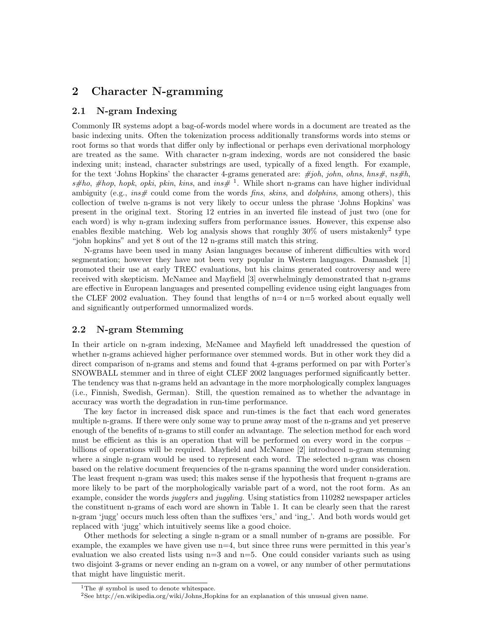### 2 Character N-gramming

#### 2.1 N-gram Indexing

Commonly IR systems adopt a bag-of-words model where words in a document are treated as the basic indexing units. Often the tokenization process additionally transforms words into stems or root forms so that words that differ only by inflectional or perhaps even derivational morphology are treated as the same. With character n-gram indexing, words are not considered the basic indexing unit; instead, character substrings are used, typically of a fixed length. For example, for the text 'Johns Hopkins' the character 4-grams generated are:  $\#joh$ , john, ohns,  $hns\#$ ,  $ns\#h$ ,  $s\#ho$ ,  $\#hop$ , hopk, opki, pkin, kins, and ins  $\#$ <sup>1</sup>. While short n-grams can have higher individual ambiguity (e.g.,  $ins\#$  could come from the words *fins, skins*, and *dolphins*, among others), this collection of twelve n-grams is not very likely to occur unless the phrase 'Johns Hopkins' was present in the original text. Storing 12 entries in an inverted file instead of just two (one for each word) is why n-gram indexing suffers from performance issues. However, this expense also enables flexible matching. Web log analysis shows that roughly  $30\%$  of users mistakenly<sup>2</sup> type "john hopkins" and yet 8 out of the 12 n-grams still match this string.

N-grams have been used in many Asian languages because of inherent difficulties with word segmentation; however they have not been very popular in Western languages. Damashek [1] promoted their use at early TREC evaluations, but his claims generated controversy and were received with skepticism. McNamee and Mayfield [3] overwhelmingly demonstrated that n-grams are effective in European languages and presented compelling evidence using eight languages from the CLEF 2002 evaluation. They found that lengths of  $n=4$  or  $n=5$  worked about equally well and significantly outperformed unnormalized words.

#### 2.2 N-gram Stemming

In their article on n-gram indexing, McNamee and Mayfield left unaddressed the question of whether n-grams achieved higher performance over stemmed words. But in other work they did a direct comparison of n-grams and stems and found that 4-grams performed on par with Porter's SNOWBALL stemmer and in three of eight CLEF 2002 languages performed significantly better. The tendency was that n-grams held an advantage in the more morphologically complex languages (i.e., Finnish, Swedish, German). Still, the question remained as to whether the advantage in accuracy was worth the degradation in run-time performance.

The key factor in increased disk space and run-times is the fact that each word generates multiple n-grams. If there were only some way to prune away most of the n-grams and yet preserve enough of the benefits of n-grams to still confer an advantage. The selection method for each word must be efficient as this is an operation that will be performed on every word in the corpus – billions of operations will be required. Mayfield and McNamee [2] introduced n-gram stemming where a single n-gram would be used to represent each word. The selected n-gram was chosen based on the relative document frequencies of the n-grams spanning the word under consideration. The least frequent n-gram was used; this makes sense if the hypothesis that frequent n-grams are more likely to be part of the morphologically variable part of a word, not the root form. As an example, consider the words *jugglers* and *juggling*. Using statistics from 110282 newspaper articles the constituent n-grams of each word are shown in Table 1. It can be clearly seen that the rarest n-gram 'jugg' occurs much less often than the suffixes 'ers ' and 'ing '. And both words would get replaced with 'jugg' which intuitively seems like a good choice.

Other methods for selecting a single n-gram or a small number of n-grams are possible. For example, the examples we have given use  $n=4$ , but since three runs were permitted in this year's evaluation we also created lists using  $n=3$  and  $n=5$ . One could consider variants such as using two disjoint 3-grams or never ending an n-gram on a vowel, or any number of other permutations that might have linguistic merit.

<sup>&</sup>lt;sup>1</sup>The  $\#$  symbol is used to denote whitespace.

<sup>2</sup>See http://en.wikipedia.org/wiki/Johns Hopkins for an explanation of this unusual given name.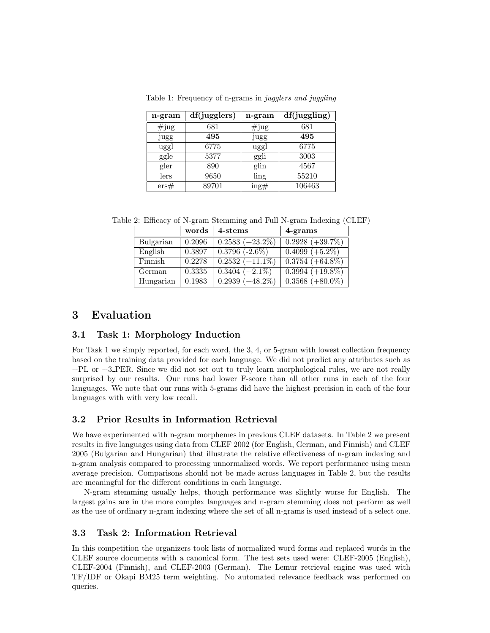| n-gram   | df(jugglers) | n-gram                            | df(juggling) |
|----------|--------------|-----------------------------------|--------------|
| $\#$ jug | 681          | $\#$ jug                          | 681          |
| jugg     | 495          | jugg                              | 495          |
| uggl     | 6775         | uggl                              | 6775         |
| ggle     | 5377         | ggli                              | 3003         |
| gler     | 890          | glin                              | 4567         |
| lers     | 9650         | ling                              | 55210        |
| ers#     | 89701        | $\frac{\text{ing}\#}{\text{ing}}$ | 106463       |

Table 1: Frequency of n-grams in jugglers and juggling

Table 2: Efficacy of N-gram Stemming and Full N-gram Indexing (CLEF)

|           | words  | 4-stems                       | 4-grams                       |
|-----------|--------|-------------------------------|-------------------------------|
| Bulgarian | 0.2096 | $\overline{0.2583 (+23.2\%)}$ | $\overline{0.2928 (+39.7\%)}$ |
| English   | 0.3897 | $0.3796 (-2.6\%)$             | $0.4099 (+5.2\%)$             |
| Finnish   | 0.2278 | $\overline{0.2532 (+11.1\%)}$ | $\overline{0.3754 (+64.8\%)}$ |
| German    | 0.3335 | $0.3404 (+2.1\%)$             | $0.3994 (+19.8\%)$            |
| Hungarian | 0.1983 | $0.2939 (+48.2\%)$            | $0.3568 (+80.0\%)$            |

# 3 Evaluation

### 3.1 Task 1: Morphology Induction

For Task 1 we simply reported, for each word, the 3, 4, or 5-gram with lowest collection frequency based on the training data provided for each language. We did not predict any attributes such as +PL or +3 PER. Since we did not set out to truly learn morphological rules, we are not really surprised by our results. Our runs had lower F-score than all other runs in each of the four languages. We note that our runs with 5-grams did have the highest precision in each of the four languages with with very low recall.

### 3.2 Prior Results in Information Retrieval

We have experimented with n-gram morphemes in previous CLEF datasets. In Table 2 we present results in five languages using data from CLEF 2002 (for English, German, and Finnish) and CLEF 2005 (Bulgarian and Hungarian) that illustrate the relative effectiveness of n-gram indexing and n-gram analysis compared to processing unnormalized words. We report performance using mean average precision. Comparisons should not be made across languages in Table 2, but the results are meaningful for the different conditions in each language.

N-gram stemming usually helps, though performance was slightly worse for English. The largest gains are in the more complex languages and n-gram stemming does not perform as well as the use of ordinary n-gram indexing where the set of all n-grams is used instead of a select one.

### 3.3 Task 2: Information Retrieval

In this competition the organizers took lists of normalized word forms and replaced words in the CLEF source documents with a canonical form. The test sets used were: CLEF-2005 (English), CLEF-2004 (Finnish), and CLEF-2003 (German). The Lemur retrieval engine was used with TF/IDF or Okapi BM25 term weighting. No automated relevance feedback was performed on queries.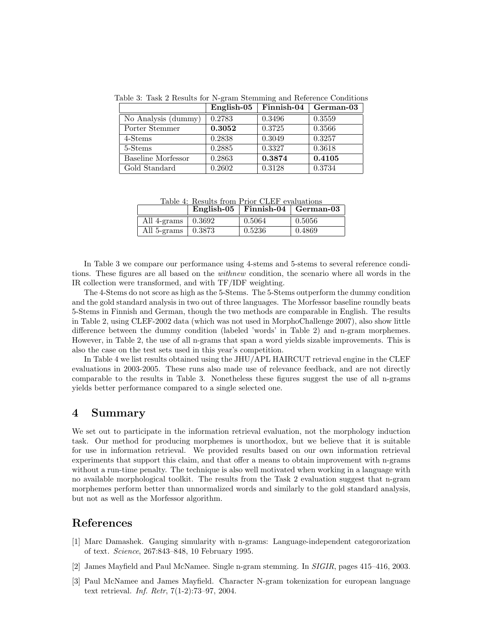Table 3: Task 2 Results for N-gram Stemming and Reference Conditions

|                           | English-05 | Finnish-04 | German-03 |
|---------------------------|------------|------------|-----------|
| No Analysis (dummy)       | 0.2783     | 0.3496     | 0.3559    |
| Porter Stemmer            | 0.3052     | 0.3725     | 0.3566    |
| 4-Stems                   | 0.2838     | 0.3049     | 0.3257    |
| 5-Stems                   | 0.2885     | 0.3327     | 0.3618    |
| <b>Baseline Morfessor</b> | 0.2863     | 0.3874     | 0.4105    |
| Gold Standard             | 0.2602     | 0.3128     | 0.3734    |

Table 4: Results from Prior CLEF evaluations

|                                  | English-05   Finnish-04   German-03 |        |
|----------------------------------|-------------------------------------|--------|
| All 4-grams $\vert 0.3692 \vert$ | 0.5064                              | 0.5056 |
| All 5-grams $\vert$ 0.3873       | 0.5236                              | 0.4869 |

In Table 3 we compare our performance using 4-stems and 5-stems to several reference conditions. These figures are all based on the withnew condition, the scenario where all words in the IR collection were transformed, and with TF/IDF weighting.

The 4-Stems do not score as high as the 5-Stems. The 5-Stems outperform the dummy condition and the gold standard analysis in two out of three languages. The Morfessor baseline roundly beats 5-Stems in Finnish and German, though the two methods are comparable in English. The results in Table 2, using CLEF-2002 data (which was not used in MorphoChallenge 2007), also show little difference between the dummy condition (labeled 'words' in Table 2) and n-gram morphemes. However, in Table 2, the use of all n-grams that span a word yields sizable improvements. This is also the case on the test sets used in this year's competition.

In Table 4 we list results obtained using the JHU/APL HAIRCUT retrieval engine in the CLEF evaluations in 2003-2005. These runs also made use of relevance feedback, and are not directly comparable to the results in Table 3. Nonetheless these figures suggest the use of all n-grams yields better performance compared to a single selected one.

### 4 Summary

We set out to participate in the information retrieval evaluation, not the morphology induction task. Our method for producing morphemes is unorthodox, but we believe that it is suitable for use in information retrieval. We provided results based on our own information retrieval experiments that support this claim, and that offer a means to obtain improvement with n-grams without a run-time penalty. The technique is also well motivated when working in a language with no available morphological toolkit. The results from the Task 2 evaluation suggest that n-gram morphemes perform better than unnormalized words and similarly to the gold standard analysis, but not as well as the Morfessor algorithm.

# References

- [1] Marc Damashek. Gauging simularity with n-grams: Language-independent categororization of text. Science, 267:843–848, 10 February 1995.
- [2] James Mayfield and Paul McNamee. Single n-gram stemming. In SIGIR, pages 415–416, 2003.
- [3] Paul McNamee and James Mayfield. Character N-gram tokenization for european language text retrieval. Inf. Retr, 7(1-2):73–97, 2004.